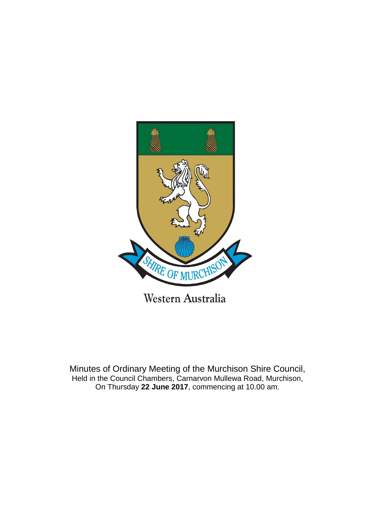

Minutes of Ordinary Meeting of the Murchison Shire Council, Held in the Council Chambers, Carnarvon Mullewa Road, Murchison, On Thursday **22 June 2017**, commencing at 10.00 am.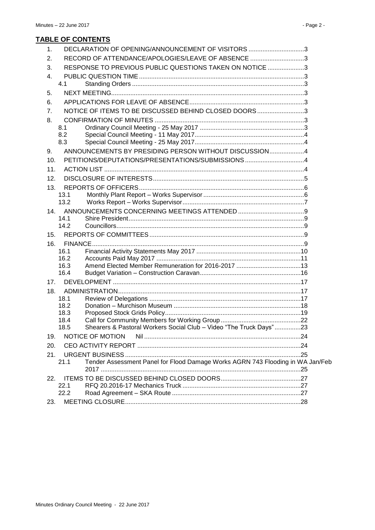| 1.  |      | DECLARATION OF OPENING/ANNOUNCEMENT OF VISITORS 3                              |  |
|-----|------|--------------------------------------------------------------------------------|--|
| 2.  |      | RECORD OF ATTENDANCE/APOLOGIES/LEAVE OF ABSENCE 3                              |  |
| 3.  |      | RESPONSE TO PREVIOUS PUBLIC QUESTIONS TAKEN ON NOTICE 3                        |  |
| 4.  |      |                                                                                |  |
|     | 4.1  |                                                                                |  |
| 5.  |      |                                                                                |  |
| 6.  |      |                                                                                |  |
| 7.  |      | NOTICE OF ITEMS TO BE DISCUSSED BEHIND CLOSED DOORS3                           |  |
| 8.  |      |                                                                                |  |
|     | 8.1  |                                                                                |  |
|     | 8.2  |                                                                                |  |
|     | 8.3  |                                                                                |  |
| 9.  |      | ANNOUNCEMENTS BY PRESIDING PERSON WITHOUT DISCUSSION4                          |  |
| 10. |      | PETITIONS/DEPUTATIONS/PRESENTATIONS/SUBMISSIONS 4                              |  |
| 11. |      |                                                                                |  |
| 12. |      |                                                                                |  |
| 13. |      |                                                                                |  |
|     | 13.1 |                                                                                |  |
|     | 13.2 |                                                                                |  |
| 14. | 14.1 |                                                                                |  |
|     | 14.2 |                                                                                |  |
| 15. |      |                                                                                |  |
| 16. |      |                                                                                |  |
|     | 16.1 |                                                                                |  |
|     | 16.2 |                                                                                |  |
|     | 16.3 |                                                                                |  |
|     | 16.4 |                                                                                |  |
| 17. |      |                                                                                |  |
| 18. | 18.1 |                                                                                |  |
|     | 18.2 |                                                                                |  |
|     | 18.3 |                                                                                |  |
|     | 18.4 |                                                                                |  |
|     | 18.5 | Shearers & Pastoral Workers Social Club - Video "The Truck Days"23             |  |
| 19. |      | NOTICE OF MOTION                                                               |  |
| 20. |      |                                                                                |  |
| 21. |      |                                                                                |  |
|     | 21.1 | Tender Assessment Panel for Flood Damage Works AGRN 743 Flooding in WA Jan/Feb |  |
|     |      |                                                                                |  |
| 22. | 22.1 |                                                                                |  |
|     | 22.2 |                                                                                |  |
| 23. |      |                                                                                |  |
|     |      |                                                                                |  |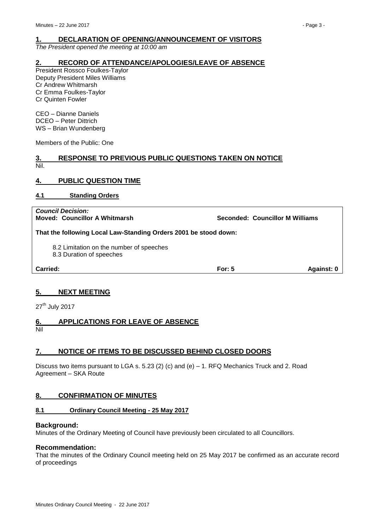<span id="page-2-0"></span>*The President opened the meeting at 10:00 am*

# <span id="page-2-1"></span>**2. RECORD OF ATTENDANCE/APOLOGIES/LEAVE OF ABSENCE**

President Rossco Foulkes-Taylor Deputy President Miles Williams Cr Andrew Whitmarsh Cr Emma Foulkes-Taylor Cr Quinten Fowler

CEO – Dianne Daniels DCEO – Peter Dittrich WS – Brian Wundenberg

Members of the Public: One

## <span id="page-2-2"></span>**3. RESPONSE TO PREVIOUS PUBLIC QUESTIONS TAKEN ON NOTICE** Nil.

# <span id="page-2-3"></span>**4. PUBLIC QUESTION TIME**

<span id="page-2-4"></span>**4.1 Standing Orders**

*Council Decision:* **Moved: Councillor A Whitmarsh Seconded: Councillor M Williams That the following Local Law-Standing Orders 2001 be stood down:** 8.2 Limitation on the number of speeches 8.3 Duration of speeches **Carried: For: 5 Against: 0**

# <span id="page-2-5"></span>**5. NEXT MEETING**

27<sup>th</sup> July 2017

# <span id="page-2-6"></span>**6. APPLICATIONS FOR LEAVE OF ABSENCE**

Nil

# <span id="page-2-7"></span>**7. NOTICE OF ITEMS TO BE DISCUSSED BEHIND CLOSED DOORS**

Discuss two items pursuant to LGA s. 5.23 (2) (c) and (e) – 1. RFQ Mechanics Truck and 2. Road Agreement – SKA Route

# <span id="page-2-8"></span>**8. CONFIRMATION OF MINUTES**

# <span id="page-2-9"></span>**8.1 Ordinary Council Meeting - 25 May 2017**

#### **Background:**

Minutes of the Ordinary Meeting of Council have previously been circulated to all Councillors.

# **Recommendation:**

That the minutes of the Ordinary Council meeting held on 25 May 2017 be confirmed as an accurate record of proceedings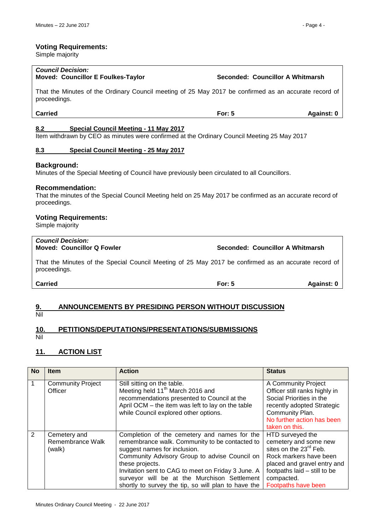#### **Voting Requirements:**

Simple majority

#### *Council Decision:* **Moved: Councillor E Foulkes-Taylor Seconded: Councillor A Whitmarsh**

That the Minutes of the Ordinary Council meeting of 25 May 2017 be confirmed as an accurate record of proceedings.

#### <span id="page-3-0"></span>**8.2 Special Council Meeting - 11 May 2017**

Item withdrawn by CEO as minutes were confirmed at the Ordinary Council Meeting 25 May 2017

#### <span id="page-3-1"></span>**8.3 Special Council Meeting - 25 May 2017**

#### **Background:**

Minutes of the Special Meeting of Council have previously been circulated to all Councillors.

#### **Recommendation:**

That the minutes of the Special Council Meeting held on 25 May 2017 be confirmed as an accurate record of proceedings.

# **Voting Requirements:**

Simple majority

# *Council Decision:*

**Moved: Councillor Q Fowler Seconded: Councillor A Whitmarsh**

That the Minutes of the Special Council Meeting of 25 May 2017 be confirmed as an accurate record of proceedings.

# <span id="page-3-2"></span>**9. ANNOUNCEMENTS BY PRESIDING PERSON WITHOUT DISCUSSION**

Nil

# <span id="page-3-3"></span>**10. PETITIONS/DEPUTATIONS/PRESENTATIONS/SUBMISSIONS**

Nil

# <span id="page-3-4"></span>**11. ACTION LIST**

| <b>No</b> | <b>Item</b>                                | <b>Action</b>                                                                                                                                                                                                                                                                                                                                                   | <b>Status</b>                                                                                                                                                                                                 |
|-----------|--------------------------------------------|-----------------------------------------------------------------------------------------------------------------------------------------------------------------------------------------------------------------------------------------------------------------------------------------------------------------------------------------------------------------|---------------------------------------------------------------------------------------------------------------------------------------------------------------------------------------------------------------|
|           | <b>Community Project</b><br>Officer        | Still sitting on the table.<br>Meeting held 11 <sup>th</sup> March 2016 and<br>recommendations presented to Council at the<br>April OCM - the item was left to lay on the table<br>while Council explored other options.                                                                                                                                        | A Community Project<br>Officer still ranks highly in<br>Social Priorities in the<br>recently adopted Strategic<br>Community Plan.<br>No further action has been<br>taken on this.                             |
| 2         | Cemetery and<br>Remembrance Walk<br>(walk) | Completion of the cemetery and names for the<br>remembrance walk. Community to be contacted to<br>suggest names for inclusion.<br>Community Advisory Group to advise Council on<br>these projects.<br>Invitation sent to CAG to meet on Friday 3 June. A<br>surveyor will be at the Murchison Settlement<br>shortly to survey the tip, so will plan to have the | HTD surveyed the<br>cemetery and some new<br>sites on the 23 <sup>rd</sup> Feb.<br>Rock markers have been<br>placed and gravel entry and<br>footpaths laid - still to be<br>compacted.<br>Footpaths have been |

**Carried For: 5 Against: 0**

**Carried For: 5 Against: 0**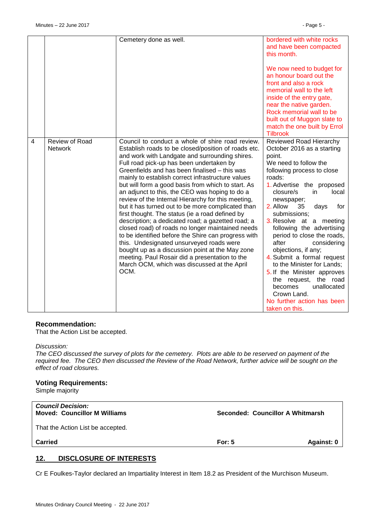|                |                                  | Cemetery done as well.                                                                                                                                                                                                                                                                                                                                                                                                                                                                                                                                                                                                                                                                                                                                                                                                                                                                                                                                    | bordered with white rocks<br>and have been compacted<br>this month.                                                                                                                                                                                                                                                                                                                                                                                                                                                                                                                                        |
|----------------|----------------------------------|-----------------------------------------------------------------------------------------------------------------------------------------------------------------------------------------------------------------------------------------------------------------------------------------------------------------------------------------------------------------------------------------------------------------------------------------------------------------------------------------------------------------------------------------------------------------------------------------------------------------------------------------------------------------------------------------------------------------------------------------------------------------------------------------------------------------------------------------------------------------------------------------------------------------------------------------------------------|------------------------------------------------------------------------------------------------------------------------------------------------------------------------------------------------------------------------------------------------------------------------------------------------------------------------------------------------------------------------------------------------------------------------------------------------------------------------------------------------------------------------------------------------------------------------------------------------------------|
|                |                                  |                                                                                                                                                                                                                                                                                                                                                                                                                                                                                                                                                                                                                                                                                                                                                                                                                                                                                                                                                           | We now need to budget for<br>an honour board out the<br>front and also a rock<br>memorial wall to the left<br>inside of the entry gate,<br>near the native garden.<br>Rock memorial wall to be<br>built out of Muggon slate to<br>match the one built by Errol<br><b>Tilbrook</b>                                                                                                                                                                                                                                                                                                                          |
| $\overline{4}$ | Review of Road<br><b>Network</b> | Council to conduct a whole of shire road review.<br>Establish roads to be closed/position of roads etc.<br>and work with Landgate and surrounding shires.<br>Full road pick-up has been undertaken by<br>Greenfields and has been finalised – this was<br>mainly to establish correct infrastructure values<br>but will form a good basis from which to start. As<br>an adjunct to this, the CEO was hoping to do a<br>review of the Internal Hierarchy for this meeting,<br>but it has turned out to be more complicated than<br>first thought. The status (ie a road defined by<br>description; a dedicated road; a gazetted road; a<br>closed road) of roads no longer maintained needs<br>to be identified before the Shire can progress with<br>this. Undesignated unsurveyed roads were<br>bought up as a discussion point at the May zone<br>meeting. Paul Rosair did a presentation to the<br>March OCM, which was discussed at the April<br>OCM. | Reviewed Road Hierarchy<br>October 2016 as a starting<br>point.<br>We need to follow the<br>following process to close<br>roads:<br>1. Advertise the proposed<br>closure/s<br>in<br>local<br>newspaper;<br>2. Allow<br>35<br>days<br>for<br>submissions;<br>3. Resolve at a meeting<br>following the advertising<br>period to close the roads,<br>after<br>considering<br>objections, if any;<br>4. Submit a formal request<br>to the Minister for Lands;<br>5. If the Minister approves<br>the request, the road<br>unallocated<br>becomes<br>Crown Land.<br>No further action has been<br>taken on this. |

#### **Recommendation:**

That the Action List be accepted.

#### *Discussion:*

*The CEO discussed the survey of plots for the cemetery. Plots are able to be reserved on payment of the required fee. The CEO then discussed the Review of the Road Network, further advice will be sought on the effect of road closures.*

#### **Voting Requirements:**

Simple majority

| <b>Council Decision:</b><br><b>Moved: Councillor M Williams</b> |          | Seconded: Councillor A Whitmarsh |
|-----------------------------------------------------------------|----------|----------------------------------|
| That the Action List be accepted.                               |          |                                  |
| <b>Carried</b>                                                  | For: $5$ | Against: 0                       |

# <span id="page-4-0"></span>**12. DISCLOSURE OF INTERESTS**

Cr E Foulkes-Taylor declared an Impartiality Interest in Item 18.2 as President of the Murchison Museum.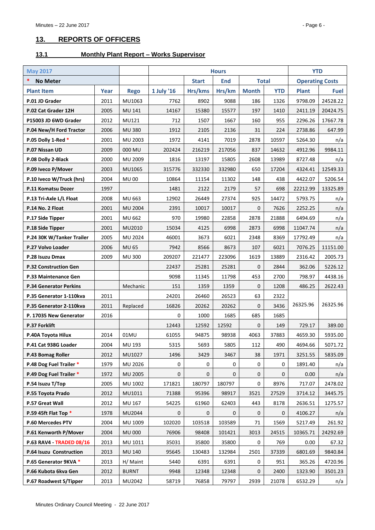# <span id="page-5-0"></span>**13. REPORTS OF OFFICERS**

# <span id="page-5-1"></span>**13.1 Monthly Plant Report – Works Supervisor**

| <b>May 2017</b>                 |      |               | <b>Hours</b> |              |              |              |            | <b>YTD</b>             |             |
|---------------------------------|------|---------------|--------------|--------------|--------------|--------------|------------|------------------------|-------------|
| *<br><b>No Meter</b>            |      |               |              | <b>Start</b> | <b>End</b>   | <b>Total</b> |            | <b>Operating Costs</b> |             |
| <b>Plant Item</b>               | Year | <b>Rego</b>   | 1 July '16   | Hrs/kms      | Hrs/km       | <b>Month</b> | <b>YTD</b> | <b>Plant</b>           | <b>Fuel</b> |
| P.01 JD Grader                  | 2011 | MU1063        | 7762         | 8902         | 9088         | 186          | 1326       | 9798.09                | 24528.22    |
| P.02 Cat Grader 12H             | 2005 | MU 141        | 14167        | 15380        | 15577        | 197          | 1410       | 2411.19                | 20424.75    |
| P15003 JD 6WD Grader            | 2012 | MU121         | 712          | 1507         | 1667         | 160          | 955        | 2296.26                | 17667.78    |
| P.04 New/H Ford Tractor         | 2006 | <b>MU 380</b> | 1912         | 2105         | 2136         | 31           | 224        | 2738.86                | 647.99      |
| P.05 Dolly 1-Red *              | 2001 | MU 2003       | 1972         | 4141         | 7019         | 2878         | 10597      | 5264.30                | n/a         |
| P.07 Nissan UD                  | 2009 | 000 MU        | 202424       | 216219       | 217056       | 837          | 14632      | 4912.96                | 9984.11     |
| P.08 Dolly 2-Black              | 2000 | MU 2009       | 1816         | 13197        | 15805        | 2608         | 13989      | 8727.48                | n/a         |
| P.09 Iveco P/Mover              | 2003 | MU1065        | 315776       | 332330       | 332980       | 650          | 17204      | 4324.41                | 12549.33    |
| P.10 Iveco W/Truck (hrs)        | 2004 | <b>MU00</b>   | 10864        | 11154        | 11302        | 148          | 438        | 4422.07                | 5206.54     |
| P.11 Komatsu Dozer              | 1997 |               | 1481         | 2122         | 2179         | 57           | 698        | 22212.99               | 13325.89    |
| P.13 Tri-Axle L/L Float         | 2008 | MU 663        | 12902        | 26449        | 27374        | 925          | 14472      | 5793.75                | n/a         |
| P.14 No. 2 Float                | 2001 | MU 2004       | 2391         | 10017        | 10017        | $\mathbf 0$  | 7626       | 2252.25                | n/a         |
| P.17 Side Tipper                | 2001 | MU 662        | 970          | 19980        | 22858        | 2878         | 21888      | 6494.69                | n/a         |
| P.18 Side Tipper                | 2001 | MU2010        | 15034        | 4125         | 6998         | 2873         | 6998       | 11047.74               | n/a         |
| P.24 30K W/Tanker Trailer       | 2005 | MU 2024       | 46001        | 3673         | 6021         | 2348         | 8369       | 17792.49               | n/a         |
| P.27 Volvo Loader               | 2006 | <b>MU 65</b>  | 7942         | 8566         | 8673         | 107          | 6021       | 7076.25                | 11151.00    |
| P.28 Isuzu Dmax                 | 2009 | <b>MU 300</b> | 209207       | 221477       | 223096       | 1619         | 13889      | 2316.42                | 2005.73     |
| <b>P.32 Construction Gen</b>    |      |               | 22437        | 25281        | 25281        | 0            | 2844       | 362.06                 | 5226.12     |
| P.33 Maintenance Gen            |      |               | 9098         | 11345        | 11798        | 453          | 2700       | 798.97                 | 4438.16     |
| <b>P.34 Generator Perkins</b>   |      | Mechanic      | 151          | 1359         | 1359         | $\mathbf 0$  | 1208       | 486.25                 | 2622.43     |
| P.35 Generator 1-110kva         | 2011 |               | 24201        | 26460        | 26523        | 63           | 2322       |                        |             |
| P.35 Generator 2-110kva         | 2011 | Replaced      | 16826        | 20262        | 20262        | $\mathbf 0$  | 3436       | 26325.96               | 26325.96    |
| P. 17035 New Generator          | 2016 |               | 0            | 1000         | 1685         | 685          | 1685       |                        |             |
| P.37 Forklift                   |      |               | 12443        | 12592        | 12592        | $\mathbf 0$  | 149        | 729.17                 | 389.00      |
| P.40A Toyota Hilux              | 2014 | 01MU          | 61055        | 94875        | 98938        | 4063         | 37883      | 4659.30                | 5935.00     |
| P.41 Cat 938G Loader            | 2004 | MU 193        | 5315         | 5693         | 5805         | 112          | 490        | 4694.66                | 5071.72     |
| P.43 Bomag Roller               | 2012 | MU1027        | 1496         | 3429         | 3467         | 38           | 1971       | 3251.55                | 5835.09     |
| P.48 Dog Fuel Trailer *         | 1979 | MU 2026       | 0            | 0            | 0            | 0            | 0          | 1891.40                | n/a         |
| P.49 Dog Fuel Trailer *         | 1972 | MU 2005       | 0            | 0            | $\mathbf 0$  | 0            | 0          | 0.00                   | n/a         |
| P.54 Isuzu T/Top                | 2005 | MU 1002       | 171821       | 180797       | 180797       | 0            | 8976       | 717.07                 | 2478.02     |
| P.55 Toyota Prado               | 2012 | MU1011        | 71388        | 95396        | 98917        | 3521         | 27529      | 3714.12                | 3445.75     |
| P.57 Great Wall                 | 2012 | MU 167        | 54225        | 61960        | 62403        | 443          | 8178       | 2636.51                | 1275.57     |
| P.59 45ft Flat Top *            | 1978 | MU2044        | 0            | $\mathbf{0}$ | $\mathbf{0}$ | $\mathbf 0$  | 0          | 4106.27                | n/a         |
| P.60 Mercedes PTV               | 2004 | MU 1009       | 102020       | 103518       | 103589       | 71           | 1569       | 5217.49                | 261.92      |
| P.61 Kenworth P/Mover           | 2004 | <b>MU 000</b> | 76906        | 98408        | 101421       | 3013         | 24515      | 10365.71               | 24292.69    |
| <b>P.63 RAV4 - TRADED 08/16</b> | 2013 | MU 1011       | 35031        | 35800        | 35800        | 0            | 769        | 0.00                   | 67.32       |
| P.64 Isuzu Construction         | 2013 | MU 140        | 95645        | 130483       | 132984       | 2501         | 37339      | 6801.69                | 9840.84     |
| P.65 Generator 9KVA *           | 2013 | H/ Maint      | 5440         | 6391         | 6391         | $\mathbf 0$  | 951        | 365.26                 | 4720.96     |
| P.66 Kubota 6kva Gen            | 2012 | <b>BURNT</b>  | 9948         | 12348        | 12348        | $\mathbf 0$  | 2400       | 1323.90                | 3501.23     |
| P.67 Roadwest S/Tipper          | 2013 | MU2042        | 58719        | 76858        | 79797        | 2939         | 21078      | 6532.29                | n/a         |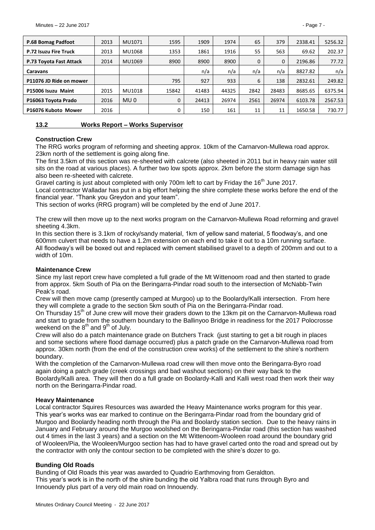| P.68 Bomag Padfoot      | 2013 | MU1071          | 1595  | 1909  | 1974  | 65           | 379      | 2338.41 | 5256.32 |
|-------------------------|------|-----------------|-------|-------|-------|--------------|----------|---------|---------|
| P.72 Isuzu Fire Truck   | 2013 | MU1068          | 1353  | 1861  | 1916  | 55           | 563      | 69.62   | 202.37  |
| P.73 Toyota Fast Attack | 2014 | MU1069          | 8900  | 8900  | 8900  | $\mathbf{0}$ | $\Omega$ | 2196.86 | 77.72   |
| <b>Caravans</b>         |      |                 |       | n/a   | n/a   | n/a          | n/a      | 8827.82 | n/a     |
| P11076 JD Ride on mower |      |                 | 795   | 927   | 933   | 6            | 138      | 2832.61 | 249.82  |
| P15006 Isuzu Maint      | 2015 | MU1018          | 15842 | 41483 | 44325 | 2842         | 28483    | 8685.65 | 6375.94 |
| P16063 Toyota Prado     | 2016 | MU <sub>0</sub> | 0     | 24413 | 26974 | 2561         | 26974    | 6103.78 | 2567.53 |
| P16076 Kuboto Mower     | 2016 |                 |       | 150   | 161   | 11           | 11       | 1650.58 | 730.77  |

#### <span id="page-6-0"></span>**13.2 Works Report – Works Supervisor**

#### **Construction Crew**

The RRG works program of reforming and sheeting approx. 10km of the Carnarvon-Mullewa road approx. 23km north of the settlement is going along fine.

The first 3.5km of this section was re-sheeted with calcrete (also sheeted in 2011 but in heavy rain water still sits on the road at various places). A further two low spots approx. 2km before the storm damage sign has also been re-sheeted with calcrete.

Gravel carting is just about completed with only 700m left to cart by Friday the 16<sup>th</sup> June 2017.

Local contractor Walladar has put in a big effort helping the shire complete these works before the end of the financial year. "Thank you Greydon and your team".

This section of works (RRG program) will be completed by the end of June 2017.

The crew will then move up to the next works program on the Carnarvon-Mullewa Road reforming and gravel sheeting 4.3km.

In this section there is 3.1km of rocky/sandy material, 1km of yellow sand material, 5 floodway's, and one 600mm culvert that needs to have a 1.2m extension on each end to take it out to a 10m running surface. All floodway's will be boxed out and replaced with cement stabilised gravel to a depth of 200mm and out to a width of 10m.

#### **Maintenance Crew**

Since my last report crew have completed a full grade of the Mt Wittenoom road and then started to grade from approx. 5km South of Pia on the Beringarra-Pindar road south to the intersection of McNabb-Twin Peak's road.

Crew will then move camp (presently camped at Murgoo) up to the Boolardy/Kalli intersection. From here they will complete a grade to the section 5km south of Pia on the Beringarra-Pindar road.

On Thursday 15<sup>th</sup> of June crew will move their graders down to the 13km pit on the Carnarvon-Mullewa road and start to grade from the southern boundary to the Ballinyoo Bridge in readiness for the 2017 Polocrosse weekend on the  $8<sup>th</sup>$  and  $9<sup>th</sup>$  of July.

Crew will also do a patch maintenance grade on Butchers Track (just starting to get a bit rough in places and some sections where flood damage occurred) plus a patch grade on the Carnarvon-Mullewa road from approx. 30km north (from the end of the construction crew works) of the settlement to the shire's northern boundary.

With the completion of the Carnarvon-Mullewa road crew will then move onto the Beringarra-Byro road again doing a patch grade (creek crossings and bad washout sections) on their way back to the Boolardy/Kalli area. They will then do a full grade on Boolardy-Kalli and Kalli west road then work their way north on the Beringarra-Pindar road.

#### **Heavy Maintenance**

Local contractor Squires Resources was awarded the Heavy Maintenance works program for this year. This year's works was ear marked to continue on the Beringarra-Pindar road from the boundary grid of Murgoo and Boolardy heading north through the Pia and Boolardy station section. Due to the heavy rains in January and February around the Murgoo woolshed on the Beringarra-Pindar road (this section has washed out 4 times in the last 3 years) and a section on the Mt Wittenoom-Wooleen road around the boundary grid of Wooleen/Pia, the Wooleen/Murgoo section has had to have gravel carted onto the road and spread out by the contractor with only the contour section to be completed with the shire's dozer to go.

#### **Bunding Old Roads**

Bunding of Old Roads this year was awarded to Quadrio Earthmoving from Geraldton. This year's work is in the north of the shire bunding the old Yalbra road that runs through Byro and Innouendy plus part of a very old main road on Innouendy.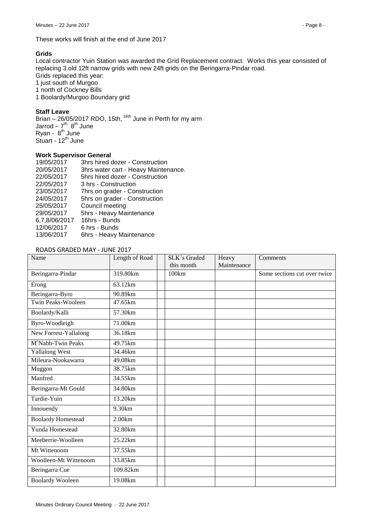These works will finish at the end of June 2017

## **Grids**

Local contractor Yuin Station was awarded the Grid Replacement contract. Works this year consisted of replacing 3 old 12ft narrow grids with new 24ft grids on the Beringarra-Pindar road. Grids replaced this year: 1 just south of Murgoo 1 north of Cockney Bills

1 Boolardy/Murgoo Boundary grid

#### **Staff Leave**

Brian  $-$  26/05/2017 RDO, 15th,  $16th$  June in Perth for my arm Jarrod – 7<sup>th</sup> 8<sup>th</sup> June Ryan - 8<sup>th</sup> June Stuart - 12<sup>th</sup> June

#### **Work Supervisor General**

| 19/05/2017    | 3hrs hired dozer - Construction      |
|---------------|--------------------------------------|
| 20/05/2017    | 3hrs water cart - Heavy Maintenance. |
| 22/05/2017    | 5hrs hired dozer - Construction      |
| 22/05/2017    | 3 hrs - Construction                 |
| 23/05/2017    | 7hrs on grader - Construction        |
| 24/05/2017    | 5hrs on grader - Construction        |
| 25/05/2017    | Council meeting                      |
| 29/05/2017    | 5hrs - Heavy Maintenance             |
| 6,7,8/06/2017 | 16hrs - Bunds                        |
| 12/06/2017    | 6 hrs - Bunds                        |
| 13/06/2017    | 6hrs - Heavy Maintenance             |
|               |                                      |

#### ROADS GRADED MAY - JUNE 2017

| Name                           | Length of Road        | SLK's Graded<br>this month | Heavy<br>Maintenance | Comments                     |
|--------------------------------|-----------------------|----------------------------|----------------------|------------------------------|
| Beringarra-Pindar              | 319.80km              | 100km                      |                      | Some sections cut over twice |
| Erong                          | 63.12km               |                            |                      |                              |
| Beringarra-Byro                | 90.89km               |                            |                      |                              |
| <b>Twin Peaks-Wooleen</b>      | $\overline{47.65}$ km |                            |                      |                              |
| Boolardy/Kalli                 | 57.30km               |                            |                      |                              |
| Byro-Woodleigh                 | 71.00km               |                            |                      |                              |
| New Forrest-Yallalong          | 36.18km               |                            |                      |                              |
| M <sup>c</sup> Nabb-Twin Peaks | $\overline{49.75}$ km |                            |                      |                              |
| <b>Yallalong West</b>          | 34.46km               |                            |                      |                              |
| Mileura-Nookawarra             | 49.08km               |                            |                      |                              |
| Muggon                         | 38.75km               |                            |                      |                              |
| Manfred                        | 34.55km               |                            |                      |                              |
| Beringarra-Mt Gould            | 34.80km               |                            |                      |                              |
| Tardie-Yuin                    | 13.20km               |                            |                      |                              |
| Innouendy                      | 9.30km                |                            |                      |                              |
| <b>Boolardy Homestead</b>      | 2.00km                |                            |                      |                              |
| Yunda Homestead                | 32.80km               |                            |                      |                              |
| Meeberrie-Woolleen             | 25.22km               |                            |                      |                              |
| Mt Wittenoom                   | 37.55km               |                            |                      |                              |
| Woolleen-Mt Wittenoom          | 33.85km               |                            |                      |                              |
| Beringarra Cue                 | 109.82km              |                            |                      |                              |
| <b>Boolardy Wooleen</b>        | 19.08km               |                            |                      |                              |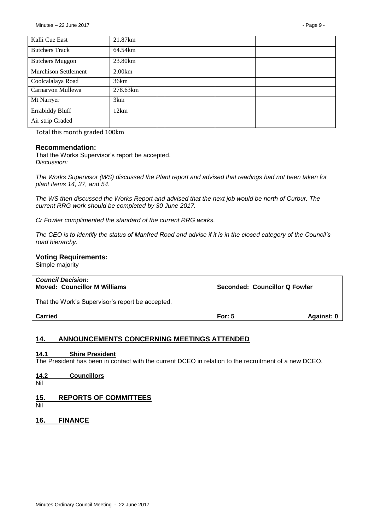| Kalli Cue East              | 21.87km  |  |  |
|-----------------------------|----------|--|--|
| <b>Butchers Track</b>       | 64.54km  |  |  |
| <b>Butchers Muggon</b>      | 23.80km  |  |  |
| <b>Murchison Settlement</b> | 2.00km   |  |  |
| Coolcalalaya Road           | 36km     |  |  |
| Carnarvon Mullewa           | 278.63km |  |  |
| Mt Narryer                  | 3km      |  |  |
| <b>Errabiddy Bluff</b>      | 12km     |  |  |
| Air strip Graded            |          |  |  |

Total this month graded 100km

#### **Recommendation:**

That the Works Supervisor's report be accepted. *Discussion:*

*The Works Supervisor (WS) discussed the Plant report and advised that readings had not been taken for plant items 14, 37, and 54.*

*The WS then discussed the Works Report and advised that the next job would be north of Curbur. The current RRG work should be completed by 30 June 2017.*

*Cr Fowler complimented the standard of the current RRG works.*

*The CEO is to identify the status of Manfred Road and advise if it is in the closed category of the Council's road hierarchy.*

#### **Voting Requirements:**

Simple majority

| <b>Council Decision:</b><br><b>Moved: Councillor M Williams</b> | Seconded: Councillor Q Fowler |            |
|-----------------------------------------------------------------|-------------------------------|------------|
| That the Work's Supervisor's report be accepted.                |                               |            |
| <b>Carried</b>                                                  | For: $5$                      | Against: 0 |

#### <span id="page-8-0"></span>**14. ANNOUNCEMENTS CONCERNING MEETINGS ATTENDED**

#### <span id="page-8-1"></span>**14.1 Shire President**

The President has been in contact with the current DCEO in relation to the recruitment of a new DCEO.

# <span id="page-8-2"></span>**14.2 Councillors**

Nil

#### <span id="page-8-3"></span>**15. REPORTS OF COMMITTEES**

- Nil
- <span id="page-8-4"></span>**16. FINANCE**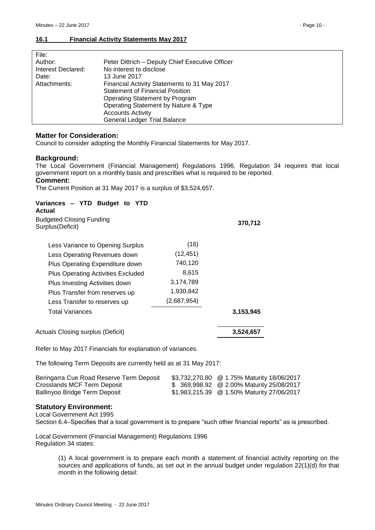#### <span id="page-9-0"></span>**16.1 Financial Activity Statements May 2017**

| File:              |                                                 |
|--------------------|-------------------------------------------------|
| Author:            | Peter Dittrich - Deputy Chief Executive Officer |
| Interest Declared: | No interest to disclose                         |
| Date:              | 13 June 2017                                    |
| Attachments:       | Financial Activity Statements to 31 May 2017    |
|                    | <b>Statement of Financial Position</b>          |
|                    | Operating Statement by Program                  |
|                    | Operating Statement by Nature & Type            |
|                    | <b>Accounts Activity</b>                        |
|                    | <b>General Ledger Trial Balance</b>             |
|                    |                                                 |

#### **Matter for Consideration:**

Council to consider adopting the Monthly Financial Statements for May 2017.

#### **Background:**

The Local Government (Financial Management) Regulations 1996. Regulation 34 requires that local government report on a monthly basis and prescribes what is required to be reported.

#### **Comment:**

The Current Position at 31 May 2017 is a surplus of \$3,524,657.

#### **Variances – YTD Budget to YTD Actual**

Budgeted Closing Funding

| <b>Daugotoa Olosing Fanaling</b><br>Surplus(Deficit) |             | 370,712   |
|------------------------------------------------------|-------------|-----------|
| Less Variance to Opening Surplus                     | (16)        |           |
| Less Operating Revenues down                         | (12, 451)   |           |
| Plus Operating Expenditure down                      | 740,120     |           |
| <b>Plus Operating Activities Excluded</b>            | 8,615       |           |
| Plus Investing Activities down                       | 3,174,789   |           |
| Plus Transfer from reserves up                       | 1,930,842   |           |
| Less Transfer to reserves up                         | (2,687,954) |           |
| <b>Total Variances</b>                               |             | 3,153,945 |
| Actuals Closing surplus (Deficit)                    |             | 3.524.657 |

Refer to May 2017 Financials for explanation of variances.

The following Term Deposits are currently held as at 31 May 2017:

| Beringarra Cue Road Reserve Term Deposit | \$3,732,270.80 @ 1.75% Maturity 18/06/2017 |
|------------------------------------------|--------------------------------------------|
| Crosslands MCF Term Deposit              | \$ 369,998.92 @ 2.00% Maturity 25/08/2017  |
| Ballinyoo Bridge Term Deposit            | \$1,983,215.39 @ 1.50% Maturity 27/06/2017 |

#### **Statutory Environment:**

Local Government Act 1995

Section 6.4–Specifies that a local government is to prepare "such other financial reports" as is prescribed.

Local Government (Financial Management) Regulations 1996 Regulation 34 states:

> (1) A local government is to prepare each month a statement of financial activity reporting on the sources and applications of funds, as set out in the annual budget under regulation 22(1)(d) for that month in the following detail: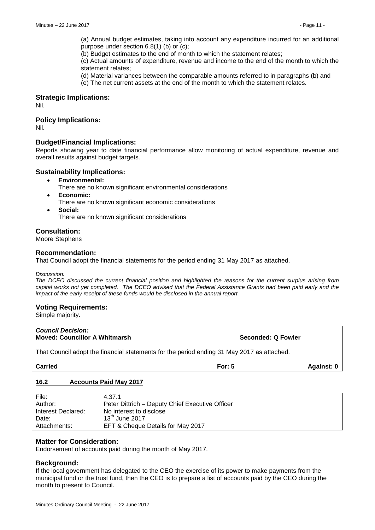(a) Annual budget estimates, taking into account any expenditure incurred for an additional purpose under section 6.8(1) (b) or (c);

(b) Budget estimates to the end of month to which the statement relates;

(c) Actual amounts of expenditure, revenue and income to the end of the month to which the statement relates;

(d) Material variances between the comparable amounts referred to in paragraphs (b) and

(e) The net current assets at the end of the month to which the statement relates.

#### **Strategic Implications:**

Nil.

#### **Policy Implications:**

Nil.

#### **Budget/Financial Implications:**

Reports showing year to date financial performance allow monitoring of actual expenditure, revenue and overall results against budget targets.

#### **Sustainability Implications:**

- **Environmental:**
	- There are no known significant environmental considerations
- **Economic:**
	- There are no known significant economic considerations
- **Social:** There are no known significant considerations

#### **Consultation:**

Moore Stephens

#### **Recommendation:**

That Council adopt the financial statements for the period ending 31 May 2017 as attached.

#### *Discussion:*

*The DCEO discussed the current financial position and highlighted the reasons for the current surplus arising from capital works not yet completed. The DCEO advised that the Federal Assistance Grants had been paid early and the impact of the early receipt of these funds would be disclosed in the annual report.*

#### **Voting Requirements:**

Simple majority.

| <b>Council Decision:</b><br><b>Moved: Councillor A Whitmarsh</b>                           | Seconded: Q Fowler |            |
|--------------------------------------------------------------------------------------------|--------------------|------------|
| That Council adopt the financial statements for the period ending 31 May 2017 as attached. |                    |            |
| <b>Carried</b>                                                                             | For: $5$           | Against: 0 |

#### <span id="page-10-0"></span>**16.2 Accounts Paid May 2017**

| File:              | 4.37.1                                          |
|--------------------|-------------------------------------------------|
| Author:            | Peter Dittrich - Deputy Chief Executive Officer |
| Interest Declared: | No interest to disclose                         |
| Date:              | $13th$ June 2017                                |
| Attachments:       | EFT & Cheque Details for May 2017               |

#### **Matter for Consideration:**

Endorsement of accounts paid during the month of May 2017.

#### **Background:**

If the local government has delegated to the CEO the exercise of its power to make payments from the municipal fund or the trust fund, then the CEO is to prepare a list of accounts paid by the CEO during the month to present to Council.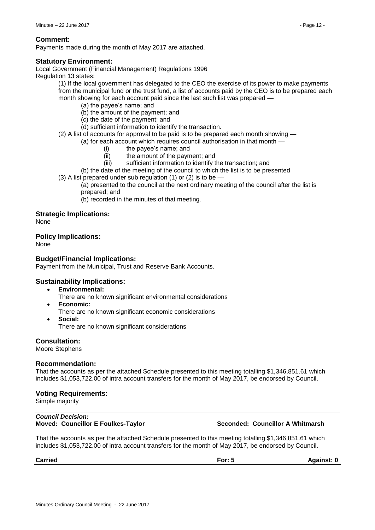Payments made during the month of May 2017 are attached.

# **Statutory Environment:**

Local Government (Financial Management) Regulations 1996 Regulation 13 states:

(1) If the local government has delegated to the CEO the exercise of its power to make payments from the municipal fund or the trust fund, a list of accounts paid by the CEO is to be prepared each month showing for each account paid since the last such list was prepared —

- (a) the payee's name; and
- (b) the amount of the payment; and
- (c) the date of the payment; and
- (d) sufficient information to identify the transaction.

(2) A list of accounts for approval to be paid is to be prepared each month showing —

(a) for each account which requires council authorisation in that month —

- (i) the payee's name; and
- (ii) the amount of the payment; and
- (iii) sufficient information to identify the transaction; and

(b) the date of the meeting of the council to which the list is to be presented

(3) A list prepared under sub regulation (1) or (2) is to be —

(a) presented to the council at the next ordinary meeting of the council after the list is prepared; and

(b) recorded in the minutes of that meeting.

# **Strategic Implications:**

None

**Policy Implications:**

None

# **Budget/Financial Implications:**

Payment from the Municipal, Trust and Reserve Bank Accounts.

# **Sustainability Implications:**

- **Environmental:**
	- There are no known significant environmental considerations
- **Economic:**
	- There are no known significant economic considerations
- **Social:** There are no known significant considerations

# **Consultation:**

Moore Stephens

#### **Recommendation:**

That the accounts as per the attached Schedule presented to this meeting totalling \$1,346,851.61 which includes \$1,053,722.00 of intra account transfers for the month of May 2017, be endorsed by Council.

# **Voting Requirements:**

Simple majority

#### *Council Decision:* **Moved: Councillor E Foulkes-Taylor Seconded: Councillor A Whitmarsh**

That the accounts as per the attached Schedule presented to this meeting totalling \$1,346,851.61 which includes \$1,053,722.00 of intra account transfers for the month of May 2017, be endorsed by Council.

| Carrie |
|--------|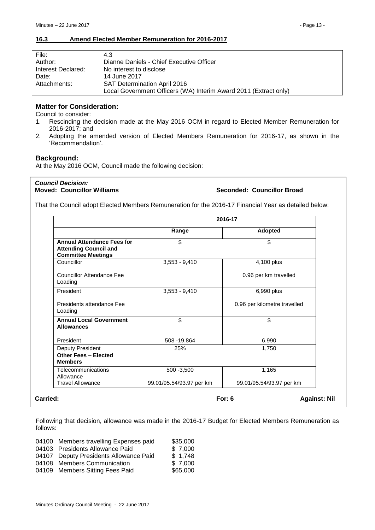#### <span id="page-12-0"></span>**16.3 Amend Elected Member Remuneration for 2016-2017**

| File:              | 4.3                                                              |
|--------------------|------------------------------------------------------------------|
| Author:            | Dianne Daniels - Chief Executive Officer                         |
| Interest Declared: | No interest to disclose                                          |
| Date:              | 14 June 2017                                                     |
| Attachments:       | <b>SAT Determination April 2016</b>                              |
|                    | Local Government Officers (WA) Interim Award 2011 (Extract only) |

# **Matter for Consideration:**

Council to consider:

- 1. Rescinding the decision made at the May 2016 OCM in regard to Elected Member Remuneration for 2016-2017; and
- 2. Adopting the amended version of Elected Members Remuneration for 2016-17, as shown in the 'Recommendation'.

#### **Background:**

At the May 2016 OCM, Council made the following decision:

*Council Decision:*

#### **Seconded: Councillor Broad**

That the Council adopt Elected Members Remuneration for the 2016-17 Financial Year as detailed below:

|                                                                                                | 2016-17                  |                              |
|------------------------------------------------------------------------------------------------|--------------------------|------------------------------|
|                                                                                                | Range                    | Adopted                      |
| <b>Annual Attendance Fees for</b><br><b>Attending Council and</b><br><b>Committee Meetings</b> | \$                       | \$                           |
| Councillor                                                                                     | $3,553 - 9,410$          | 4,100 plus                   |
| Councillor Attendance Fee<br>Loading                                                           |                          | 0.96 per km travelled        |
| President                                                                                      | $3,553 - 9,410$          | 6,990 plus                   |
| Presidents attendance Fee<br>Loading                                                           |                          | 0.96 per kilometre travelled |
| <b>Annual Local Government</b><br><b>Allowances</b>                                            | \$                       | \$                           |
| President                                                                                      | 508 - 19,864             | 6,990                        |
| Deputy President                                                                               | 25%                      | 1,750                        |
| Other Fees - Elected<br><b>Members</b>                                                         |                          |                              |
| Telecommunications<br>Allowance                                                                | 500 - 3,500              | 1,165                        |
| <b>Travel Allowance</b>                                                                        | 99.01/95.54/93.97 per km | 99.01/95.54/93.97 per km     |

Following that decision, allowance was made in the 2016-17 Budget for Elected Members Remuneration as follows:

| 04100 Members travelling Expenses paid<br>04103 Presidents Allowance Paid<br>04107 Deputy Presidents Allowance Paid<br>04108 Members Communication | \$35,000<br>\$7,000<br>\$1,748<br>\$7,000 |
|----------------------------------------------------------------------------------------------------------------------------------------------------|-------------------------------------------|
| 04109 Members Sitting Fees Paid                                                                                                                    | \$65,000                                  |
|                                                                                                                                                    |                                           |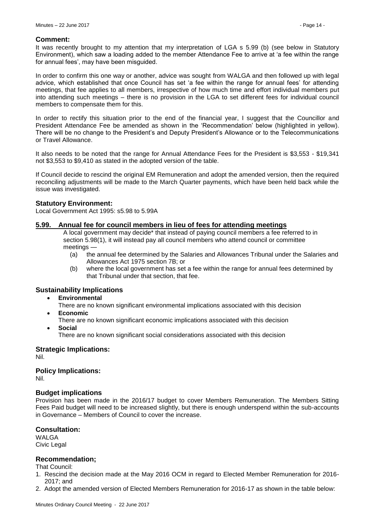#### **Comment:**

It was recently brought to my attention that my interpretation of LGA s 5.99 (b) (see below in Statutory Environment), which saw a loading added to the member Attendance Fee to arrive at 'a fee within the range for annual fees', may have been misguided.

In order to confirm this one way or another, advice was sought from WALGA and then followed up with legal advice, which established that once Council has set 'a fee within the range for annual fees' for attending meetings, that fee applies to all members, irrespective of how much time and effort individual members put into attending such meetings – there is no provision in the LGA to set different fees for individual council members to compensate them for this.

In order to rectify this situation prior to the end of the financial year, I suggest that the Councillor and President Attendance Fee be amended as shown in the 'Recommendation' below (highlighted in yellow). There will be no change to the President's and Deputy President's Allowance or to the Telecommunications or Travel Allowance.

It also needs to be noted that the range for Annual Attendance Fees for the President is \$3,553 - \$19,341 not \$3,553 to \$9,410 as stated in the adopted version of the table.

If Council decide to rescind the original EM Remuneration and adopt the amended version, then the required reconciling adjustments will be made to the March Quarter payments, which have been held back while the issue was investigated.

#### **Statutory Environment:**

Local Government Act 1995: s5.98 to 5.99A

#### **5.99. Annual fee for council members in lieu of fees for attending meetings**

A local government may decide\* that instead of paying council members a fee referred to in section 5.98(1), it will instead pay all council members who attend council or committee meetings -

- (a) the annual fee determined by the Salaries and Allowances Tribunal under the Salaries and Allowances Act 1975 section 7B; or
- (b) where the local government has set a fee within the range for annual fees determined by that Tribunal under that section, that fee.

#### **Sustainability Implications**

- **Environmental**
	- There are no known significant environmental implications associated with this decision
- **Economic**
	- There are no known significant economic implications associated with this decision
- **Social**
	- There are no known significant social considerations associated with this decision

#### **Strategic Implications:**

Nil.

#### **Policy Implications:**

Nil.

#### **Budget implications**

Provision has been made in the 2016/17 budget to cover Members Remuneration. The Members Sitting Fees Paid budget will need to be increased slightly, but there is enough underspend within the sub-accounts in Governance – Members of Council to cover the increase.

#### **Consultation:**

WALGA Civic Legal

#### **Recommendation;**

That Council:

- 1. Rescind the decision made at the May 2016 OCM in regard to Elected Member Remuneration for 2016- 2017; and
- 2. Adopt the amended version of Elected Members Remuneration for 2016-17 as shown in the table below: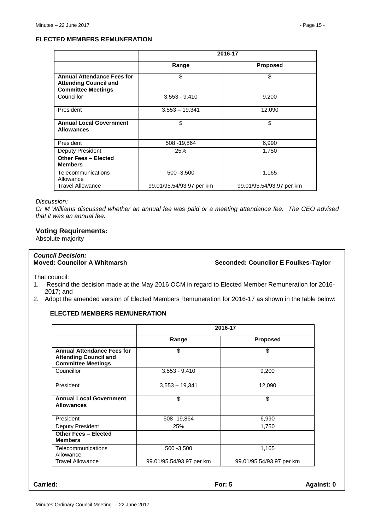#### **ELECTED MEMBERS REMUNERATION**

|                                                                                                | 2016-17                  |                          |
|------------------------------------------------------------------------------------------------|--------------------------|--------------------------|
|                                                                                                | Range                    | <b>Proposed</b>          |
| <b>Annual Attendance Fees for</b><br><b>Attending Council and</b><br><b>Committee Meetings</b> | \$                       | \$                       |
| Councillor                                                                                     | $3,553 - 9,410$          | 9,200                    |
| President                                                                                      | $3,553 - 19,341$         | 12,090                   |
| <b>Annual Local Government</b><br><b>Allowances</b>                                            | \$                       | \$                       |
| President                                                                                      | 508 - 19,864             | 6,990                    |
| Deputy President                                                                               | 25%                      | 1,750                    |
| <b>Other Fees - Elected</b><br><b>Members</b>                                                  |                          |                          |
| Telecommunications<br>Allowance                                                                | 500 - 3,500              | 1,165                    |
| <b>Travel Allowance</b>                                                                        | 99.01/95.54/93.97 per km | 99.01/95.54/93.97 per km |

#### *Discussion:*

*Cr M Williams discussed whether an annual fee was paid or a meeting attendance fee. The CEO advised that it was an annual fee.*

#### **Voting Requirements:**

Absolute majority

# *Council Decision:*

**Seconded: Councilor E Foulkes-Taylor** 

That council:

- 1. Rescind the decision made at the May 2016 OCM in regard to Elected Member Remuneration for 2016- 2017; and
- 2. Adopt the amended version of Elected Members Remuneration for 2016-17 as shown in the table below:

## **ELECTED MEMBERS REMUNERATION**

|                                                                                                | 2016-17                  |                          |
|------------------------------------------------------------------------------------------------|--------------------------|--------------------------|
|                                                                                                | Range                    | <b>Proposed</b>          |
| <b>Annual Attendance Fees for</b><br><b>Attending Council and</b><br><b>Committee Meetings</b> | \$                       | \$                       |
| Councillor                                                                                     | $3,553 - 9,410$          | 9,200                    |
| President                                                                                      | $3,553 - 19,341$         | 12,090                   |
| <b>Annual Local Government</b><br><b>Allowances</b>                                            | \$                       | \$                       |
| President                                                                                      | 508 - 19,864             | 6,990                    |
| Deputy President                                                                               | 25%                      | 1,750                    |
| <b>Other Fees - Elected</b><br><b>Members</b>                                                  |                          |                          |
| Telecommunications<br>Allowance                                                                | 500 - 3,500              | 1,165                    |
| <b>Travel Allowance</b>                                                                        | 99.01/95.54/93.97 per km | 99.01/95.54/93.97 per km |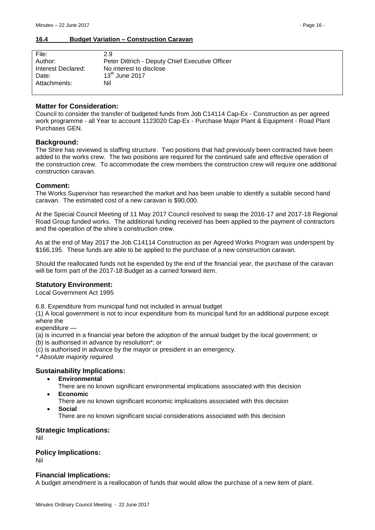#### <span id="page-15-0"></span>**16.4 Budget Variation – Construction Caravan**

| File:              | 2.9                                             |
|--------------------|-------------------------------------------------|
| Author:            | Peter Dittrich - Deputy Chief Executive Officer |
| Interest Declared: | No interest to disclose                         |
| Date:              | $13th$ June 2017                                |
| Attachments:       | Nil                                             |
|                    |                                                 |

#### **Matter for Consideration:**

Council to consider the transfer of budgeted funds from Job C14114 Cap-Ex - Construction as per agreed work programme - all Year to account 1123020 Cap-Ex - Purchase Major Plant & Equipment - Road Plant Purchases GEN.

#### **Background:**

The Shire has reviewed is staffing structure. Two positions that had previously been contracted have been added to the works crew. The two positions are required for the continued safe and effective operation of the construction crew. To accommodate the crew members the construction crew will require one additional construction caravan.

#### **Comment:**

The Works Supervisor has researched the market and has been unable to identify a suitable second hand caravan. The estimated cost of a new caravan is \$90,000.

At the Special Council Meeting of 11 May 2017 Council resolved to swap the 2016-17 and 2017-18 Regional Road Group funded works. The additional funding received has been applied to the payment of contractors and the operation of the shire's construction crew.

As at the end of May 2017 the Job C14114 Construction as per Agreed Works Program was underspent by \$166,195. These funds are able to be applied to the purchase of a new construction caravan.

Should the reallocated funds not be expended by the end of the financial year, the purchase of the caravan will be form part of the 2017-18 Budget as a carried forward item.

#### **Statutory Environment:**

Local Government Act 1995

6.8. Expenditure from municipal fund not included in annual budget

(1) A local government is not to incur expenditure from its municipal fund for an additional purpose except where the

expenditure —

(a) is incurred in a financial year before the adoption of the annual budget by the local government; or

(b) is authorised in advance by resolution\*; or

(c) is authorised in advance by the mayor or president in an emergency.

*\* Absolute majority required.*

#### **Sustainability Implications:**

- **Environmental**
	- There are no known significant environmental implications associated with this decision
- **Economic**

There are no known significant economic implications associated with this decision

- **Social**
	- There are no known significant social considerations associated with this decision

#### **Strategic Implications:**

Nil

#### **Policy Implications:**

Nil

#### **Financial Implications:**

A budget amendment is a reallocation of funds that would allow the purchase of a new item of plant.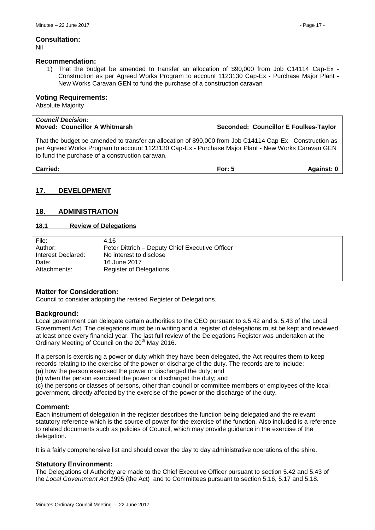Nil

#### **Recommendation:**

1) That the budget be amended to transfer an allocation of \$90,000 from Job C14114 Cap-Ex - Construction as per Agreed Works Program to account 1123130 Cap-Ex - Purchase Major Plant - New Works Caravan GEN to fund the purchase of a construction caravan

#### **Voting Requirements:**

Absolute Majority

# *Council Decision:* **Moved: Councillor A Whitmarsh Seconded: Councillor E Foulkes-Taylor**

That the budget be amended to transfer an allocation of \$90,000 from Job C14114 Cap-Ex - Construction as per Agreed Works Program to account 1123130 Cap-Ex - Purchase Major Plant - New Works Caravan GEN to fund the purchase of a construction caravan.

| Against: 0 |
|------------|
|            |

# <span id="page-16-0"></span>**17. DEVELOPMENT**

#### <span id="page-16-1"></span>**18. ADMINISTRATION**

#### <span id="page-16-2"></span>**18.1 Review of Delegations**

| File:              | 4.16                                            |
|--------------------|-------------------------------------------------|
| Author:            | Peter Dittrich – Deputy Chief Executive Officer |
| Interest Declared: | No interest to disclose                         |
| Date:              | 16 June 2017                                    |
| Attachments:       | <b>Register of Delegations</b>                  |

#### **Matter for Consideration:**

Council to consider adopting the revised Register of Delegations.

#### **Background:**

Local government can delegate certain authorities to the CEO pursuant to s.5.42 and s. 5.43 of the Local Government Act. The delegations must be in writing and a register of delegations must be kept and reviewed at least once every financial year. The last full review of the Delegations Register was undertaken at the Ordinary Meeting of Council on the 20<sup>th</sup> May 2016.

If a person is exercising a power or duty which they have been delegated, the Act requires them to keep records relating to the exercise of the power or discharge of the duty. The records are to include:

(a) how the person exercised the power or discharged the duty; and

(b) when the person exercised the power or discharged the duty; and

(c) the persons or classes of persons, other than council or committee members or employees of the local government, directly affected by the exercise of the power or the discharge of the duty.

#### **Comment:**

Each instrument of delegation in the register describes the function being delegated and the relevant statutory reference which is the source of power for the exercise of the function. Also included is a reference to related documents such as policies of Council, which may provide guidance in the exercise of the delegation.

It is a fairly comprehensive list and should cover the day to day administrative operations of the shire.

#### **Statutory Environment:**

The Delegations of Authority are made to the Chief Executive Officer pursuant to section 5.42 and 5.43 of the *Local Government Act 1*995 (the Act) and to Committees pursuant to section 5.16, 5.17 and 5.18.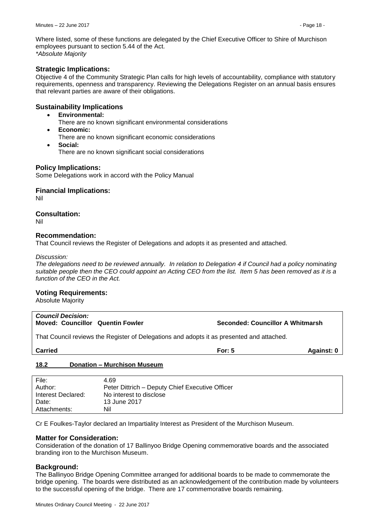Where listed, some of these functions are delegated by the Chief Executive Officer to Shire of Murchison employees pursuant to section 5.44 of the Act. *\*Absolute Majority* 

#### **Strategic Implications:**

Objective 4 of the Community Strategic Plan calls for high levels of accountability, compliance with statutory requirements, openness and transparency. Reviewing the Delegations Register on an annual basis ensures that relevant parties are aware of their obligations.

#### **Sustainability Implications**

- **Environmental:**
	- There are no known significant environmental considerations
- **Economic:**
	- There are no known significant economic considerations
- **Social:** There are no known significant social considerations

#### **Policy Implications:**

Some Delegations work in accord with the Policy Manual

#### **Financial Implications:**

Nil

#### **Consultation:**

Nil

#### **Recommendation:**

That Council reviews the Register of Delegations and adopts it as presented and attached.

#### *Discussion:*

*The delegations need to be reviewed annually. In relation to Delegation 4 if Council had a policy nominating suitable people then the CEO could appoint an Acting CEO from the list. Item 5 has been removed as it is a function of the CEO in the Act.*

#### **Voting Requirements:**

Absolute Majority

# *Council Decision:* **Moved: Councillor Quentin Fowler Seconded: Councillor A Whitmarsh**

That Council reviews the Register of Delegations and adopts it as presented and attached.

| <b>Carried</b> | ∙or∙<br>______ | Anainst · |
|----------------|----------------|-----------|
|                |                |           |

#### <span id="page-17-0"></span>**18.2 Donation – Murchison Museum**

| File:              | 4.69                                            |
|--------------------|-------------------------------------------------|
| Author:            | Peter Dittrich - Deputy Chief Executive Officer |
| Interest Declared: | No interest to disclose                         |
| Date:              | 13 June 2017                                    |
| Attachments:       | Nil                                             |

Cr E Foulkes-Taylor declared an Impartiality Interest as President of the Murchison Museum.

#### **Matter for Consideration:**

Consideration of the donation of 17 Ballinyoo Bridge Opening commemorative boards and the associated branding iron to the Murchison Museum.

#### **Background:**

The Ballinyoo Bridge Opening Committee arranged for additional boards to be made to commemorate the bridge opening. The boards were distributed as an acknowledgement of the contribution made by volunteers to the successful opening of the bridge. There are 17 commemorative boards remaining.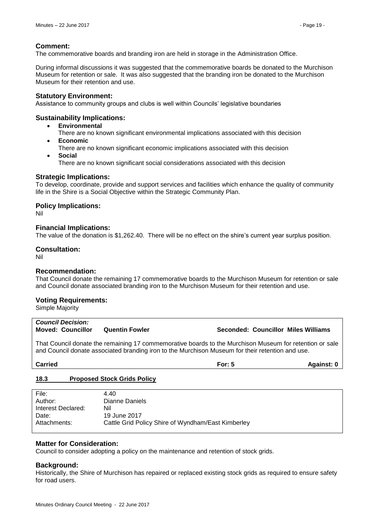#### **Comment:**

The commemorative boards and branding iron are held in storage in the Administration Office.

During informal discussions it was suggested that the commemorative boards be donated to the Murchison Museum for retention or sale. It was also suggested that the branding iron be donated to the Murchison Museum for their retention and use.

#### **Statutory Environment:**

Assistance to community groups and clubs is well within Councils' legislative boundaries

#### **Sustainability Implications:**

- **Environmental**
	- There are no known significant environmental implications associated with this decision
- **Economic**
	- There are no known significant economic implications associated with this decision
- **Social** There are no known significant social considerations associated with this decision

#### **Strategic Implications:**

To develop, coordinate, provide and support services and facilities which enhance the quality of community life in the Shire is a Social Objective within the Strategic Community Plan.

#### **Policy Implications:**

Nil

#### **Financial Implications:**

The value of the donation is \$1,262.40. There will be no effect on the shire's current year surplus position.

#### **Consultation:**

Nil

#### **Recommendation:**

That Council donate the remaining 17 commemorative boards to the Murchison Museum for retention or sale and Council donate associated branding iron to the Murchison Museum for their retention and use.

#### **Voting Requirements:**

Simple Majority

# *Council Decision:* **Moved: Councillor Quentin Fowler Seconded: Councillor Miles Williams**

That Council donate the remaining 17 commemorative boards to the Murchison Museum for retention or sale and Council donate associated branding iron to the Murchison Museum for their retention and use.

# **Carried For: 5 Against: 0**

#### <span id="page-18-0"></span>**18.3 Proposed Stock Grids Policy**

| File:              | 4 4 0                                              |
|--------------------|----------------------------------------------------|
| Author:            | Dianne Daniels                                     |
| Interest Declared: | Nil                                                |
| Date:              | 19 June 2017                                       |
| Attachments:       | Cattle Grid Policy Shire of Wyndham/East Kimberley |

#### **Matter for Consideration:**

Council to consider adopting a policy on the maintenance and retention of stock grids.

#### **Background:**

Historically, the Shire of Murchison has repaired or replaced existing stock grids as required to ensure safety for road users.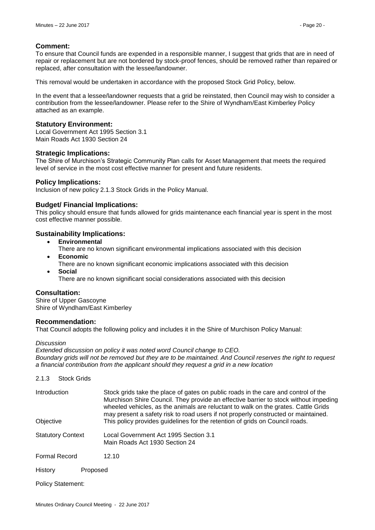#### **Comment:**

To ensure that Council funds are expended in a responsible manner, I suggest that grids that are in need of repair or replacement but are not bordered by stock-proof fences, should be removed rather than repaired or replaced, after consultation with the lessee/landowner.

This removal would be undertaken in accordance with the proposed Stock Grid Policy, below.

In the event that a lessee/landowner requests that a grid be reinstated, then Council may wish to consider a contribution from the lessee/landowner. Please refer to the Shire of Wyndham/East Kimberley Policy attached as an example.

#### **Statutory Environment:**

Local Government Act 1995 Section 3.1 Main Roads Act 1930 Section 24

#### **Strategic Implications:**

The Shire of Murchison's Strategic Community Plan calls for Asset Management that meets the required level of service in the most cost effective manner for present and future residents.

#### **Policy Implications:**

Inclusion of new policy 2.1.3 Stock Grids in the Policy Manual.

#### **Budget/ Financial Implications:**

This policy should ensure that funds allowed for grids maintenance each financial year is spent in the most cost effective manner possible.

#### **Sustainability Implications:**

- **Environmental**
- There are no known significant environmental implications associated with this decision
- **Economic**
	- There are no known significant economic implications associated with this decision **Social**
	- There are no known significant social considerations associated with this decision

#### **Consultation:**

Shire of Upper Gascoyne Shire of Wyndham/East Kimberley

#### **Recommendation:**

That Council adopts the following policy and includes it in the Shire of Murchison Policy Manual:

*Discussion*

*Extended discussion on policy it was noted word Council change to CEO. Boundary grids will not be removed but they are to be maintained. And Council reserves the right to request a financial contribution from the applicant should they request a grid in a new location*

#### 2.1.3 Stock Grids

| Introduction             |          | Stock grids take the place of gates on public roads in the care and control of the<br>Murchison Shire Council. They provide an effective barrier to stock without impeding<br>wheeled vehicles, as the animals are reluctant to walk on the grates. Cattle Grids<br>may present a safety risk to road users if not properly constructed or maintained. |
|--------------------------|----------|--------------------------------------------------------------------------------------------------------------------------------------------------------------------------------------------------------------------------------------------------------------------------------------------------------------------------------------------------------|
| Objective                |          | This policy provides guidelines for the retention of grids on Council roads.                                                                                                                                                                                                                                                                           |
| <b>Statutory Context</b> |          | Local Government Act 1995 Section 3.1<br>Main Roads Act 1930 Section 24                                                                                                                                                                                                                                                                                |
| <b>Formal Record</b>     |          | 12.10                                                                                                                                                                                                                                                                                                                                                  |
| History                  | Proposed |                                                                                                                                                                                                                                                                                                                                                        |

Policy Statement: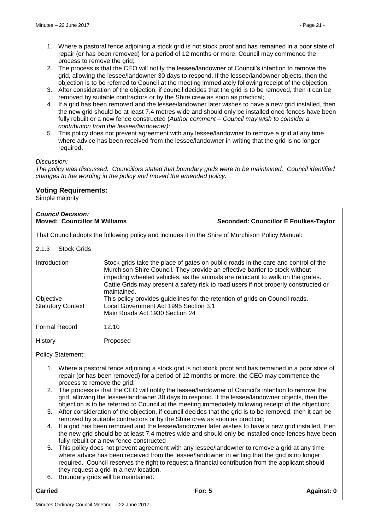- 1. Where a pastoral fence adjoining a stock grid is not stock proof and has remained in a poor state of repair (or has been removed) for a period of 12 months or more, Council may commence the process to remove the grid;
- 2. The process is that the CEO will notify the lessee/landowner of Council's intention to remove the grid, allowing the lessee/landowner 30 days to respond. If the lessee/landowner objects, then the objection is to be referred to Council at the meeting immediately following receipt of the objection;
- 3. After consideration of the objection, if council decides that the grid is to be removed, then it can be removed by suitable contractors or by the Shire crew as soon as practical;
- 4. If a grid has been removed and the lessee/landowner later wishes to have a new grid installed, then the new grid should be at least 7.4 metres wide and should only be installed once fences have been fully rebuilt or a new fence constructed (*Author comment – Council may wish to consider a contribution from the lessee/landowner);*
- 5. This policy does not prevent agreement with any lessee/landowner to remove a grid at any time where advice has been received from the lessee/landowner in writing that the grid is no longer required.

#### *Discussion:*

*The policy was discussed. Councillors stated that boundary grids were to be maintained. Council identified changes to the wording in the policy and moved the amended policy.*

#### **Voting Requirements:**

Simple majority

| <b>Council Decision:</b><br><b>Moved: Councillor M Williams</b> |                                                                                                                                                                                                                                                       | <b>Seconded: Councillor E Foulkes-Taylor</b>                                                                                                                                                                                                                |  |
|-----------------------------------------------------------------|-------------------------------------------------------------------------------------------------------------------------------------------------------------------------------------------------------------------------------------------------------|-------------------------------------------------------------------------------------------------------------------------------------------------------------------------------------------------------------------------------------------------------------|--|
|                                                                 | That Council adopts the following policy and includes it in the Shire of Murchison Policy Manual:                                                                                                                                                     |                                                                                                                                                                                                                                                             |  |
| 2.1.3<br><b>Stock Grids</b>                                     |                                                                                                                                                                                                                                                       |                                                                                                                                                                                                                                                             |  |
| Introduction<br>Objective<br><b>Statutory Context</b>           | Murchison Shire Council. They provide an effective barrier to stock without<br>maintained.<br>This policy provides guidelines for the retention of grids on Council roads.<br>Local Government Act 1995 Section 3.1<br>Main Roads Act 1930 Section 24 | Stock grids take the place of gates on public roads in the care and control of the<br>impeding wheeled vehicles, as the animals are reluctant to walk on the grates.<br>Cattle Grids may present a safety risk to road users if not properly constructed or |  |
| <b>Formal Record</b>                                            | 12.10                                                                                                                                                                                                                                                 |                                                                                                                                                                                                                                                             |  |
| History                                                         | Proposed                                                                                                                                                                                                                                              |                                                                                                                                                                                                                                                             |  |
| <b>Policy Statement:</b>                                        |                                                                                                                                                                                                                                                       |                                                                                                                                                                                                                                                             |  |

- 1. Where a pastoral fence adjoining a stock grid is not stock proof and has remained in a poor state of repair (or has been removed) for a period of 12 months or more, the CEO may commence the process to remove the grid;
- 2. The process is that the CEO will notify the lessee/landowner of Council's intention to remove the grid, allowing the lessee/landowner 30 days to respond. If the lessee/landowner objects, then the objection is to be referred to Council at the meeting immediately following receipt of the objection;
- 3. After consideration of the objection, if council decides that the grid is to be removed, then it can be removed by suitable contractors or by the Shire crew as soon as practical;
- 4. If a grid has been removed and the lessee/landowner later wishes to have a new grid installed, then the new grid should be at least 7.4 metres wide and should only be installed once fences have been fully rebuilt or a new fence constructed
- 5. This policy does not prevent agreement with any lessee/landowner to remove a grid at any time where advice has been received from the lessee/landowner in writing that the grid is no longer required. Council reserves the right to request a financial contribution from the applicant should they request a grid in a new location.
- 6. Boundary grids will be maintained.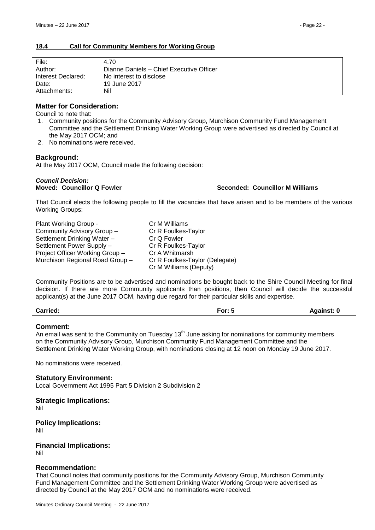#### <span id="page-21-0"></span>**18.4 Call for Community Members for Working Group**

| File:              | 4.70                                     |
|--------------------|------------------------------------------|
| Author:            | Dianne Daniels - Chief Executive Officer |
| Interest Declared: | No interest to disclose                  |
| Date:              | 19 June 2017                             |
| Attachments:       | Nil                                      |

#### **Matter for Consideration:**

Council to note that:

- 1. Community positions for the Community Advisory Group, Murchison Community Fund Management Committee and the Settlement Drinking Water Working Group were advertised as directed by Council at the May 2017 OCM; and
- 2. No nominations were received.

#### **Background:**

At the May 2017 OCM, Council made the following decision:

*Council Decision:*

**Moved: Councillor Q Fowler Seconded: Councillor M Williams**

That Council elects the following people to fill the vacancies that have arisen and to be members of the various Working Groups:

| Plant Working Group -           | Cr M Williams                  |
|---------------------------------|--------------------------------|
| Community Advisory Group -      | Cr R Foulkes-Taylor            |
| Settlement Drinking Water -     | Cr Q Fowler                    |
| Settlement Power Supply -       | Cr R Foulkes-Taylor            |
| Project Officer Working Group - | Cr A Whitmarsh                 |
| Murchison Regional Road Group - | Cr R Foulkes-Taylor (Delegate) |
|                                 | Cr M Williams (Deputy)         |

Community Positions are to be advertised and nominations be bought back to the Shire Council Meeting for final decision. If there are more Community applicants than positions, then Council will decide the successful applicant(s) at the June 2017 OCM, having due regard for their particular skills and expertise.

| <b>Carried:</b> | For: $5$ | Against: 0 |
|-----------------|----------|------------|
|-----------------|----------|------------|

#### **Comment:**

An email was sent to the Community on Tuesday  $13<sup>th</sup>$  June asking for nominations for community members on the Community Advisory Group, Murchison Community Fund Management Committee and the Settlement Drinking Water Working Group, with nominations closing at 12 noon on Monday 19 June 2017.

No nominations were received.

**Statutory Environment:** Local Government Act 1995 Part 5 Division 2 Subdivision 2

**Strategic Implications:** Nil

**Policy Implications:** Nil

**Financial Implications:** Nil

#### **Recommendation:**

That Council notes that community positions for the Community Advisory Group, Murchison Community Fund Management Committee and the Settlement Drinking Water Working Group were advertised as directed by Council at the May 2017 OCM and no nominations were received.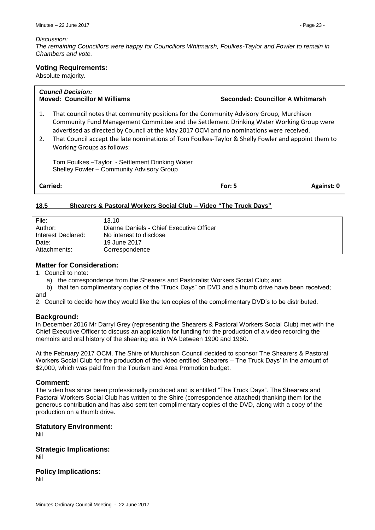#### *Discussion:*

*The remaining Councillors were happy for Councillors Whitmarsh, Foulkes-Taylor and Fowler to remain in Chambers and vote.*

#### **Voting Requirements:**

Absolute majority.

*Council Decision:*

#### **Moved: Councillor M Williams Seconded: Councillor A Whitmarsh**

- 1. That council notes that community positions for the Community Advisory Group, Murchison Community Fund Management Committee and the Settlement Drinking Water Working Group were advertised as directed by Council at the May 2017 OCM and no nominations were received.
- 2. That Council accept the late nominations of Tom Foulkes-Taylor & Shelly Fowler and appoint them to Working Groups as follows:

Tom Foulkes –Taylor - Settlement Drinking Water Shelley Fowler – Community Advisory Group

**Carried: Carried: For: 5 Against: 0 For: 5 Against: 0 Against: 0 Against: 0** 

#### <span id="page-22-0"></span>**18.5 Shearers & Pastoral Workers Social Club – Video "The Truck Days"**

| File:              | 13.10                                    |
|--------------------|------------------------------------------|
| Author:            | Dianne Daniels - Chief Executive Officer |
| Interest Declared: | No interest to disclose                  |
| Date:              | 19 June 2017                             |
| Attachments:       | Correspondence                           |

# **Matter for Consideration:**

1. Council to note:

a) the correspondence from the Shearers and Pastoralist Workers Social Club; and

b) that ten complimentary copies of the "Truck Days" on DVD and a thumb drive have been received; and

2. Council to decide how they would like the ten copies of the complimentary DVD's to be distributed.

#### **Background:**

In December 2016 Mr Darryl Grey (representing the Shearers & Pastoral Workers Social Club) met with the Chief Executive Officer to discuss an application for funding for the production of a video recording the memoirs and oral history of the shearing era in WA between 1900 and 1960.

At the February 2017 OCM, The Shire of Murchison Council decided to sponsor The Shearers & Pastoral Workers Social Club for the production of the video entitled 'Shearers – The Truck Days' in the amount of \$2,000, which was paid from the Tourism and Area Promotion budget.

#### **Comment:**

The video has since been professionally produced and is entitled "The Truck Days". The Shearers and Pastoral Workers Social Club has written to the Shire (correspondence attached) thanking them for the generous contribution and has also sent ten complimentary copies of the DVD, along with a copy of the production on a thumb drive.

#### **Statutory Environment:**

Nil

**Strategic Implications:** Nil

**Policy Implications:** Nil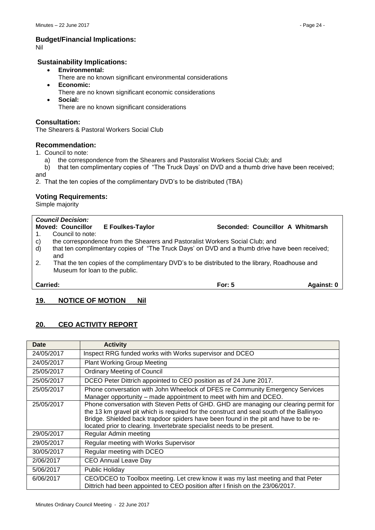### **Budget/Financial Implications:**

Nil

### **Sustainability Implications:**

- **Environmental:**
	- There are no known significant environmental considerations
- **Economic:**
	- There are no known significant economic considerations
- **Social:** There are no known significant considerations

#### **Consultation:**

The Shearers & Pastoral Workers Social Club

#### **Recommendation:**

1. Council to note:

- a) the correspondence from the Shearers and Pastoralist Workers Social Club; and
- b) that ten complimentary copies of "The Truck Days' on DVD and a thumb drive have been received;
- and

2. That the ten copies of the complimentary DVD's to be distributed (TBA)

#### **Voting Requirements:**

Simple majority

|              | <b>Council Decision:</b>       |                         |                                                                                                |            |
|--------------|--------------------------------|-------------------------|------------------------------------------------------------------------------------------------|------------|
|              | <b>Moved: Councillor</b>       | <b>E</b> Foulkes-Taylor | Seconded: Councillor A Whitmarsh                                                               |            |
|              | Council to note:               |                         |                                                                                                |            |
| $\mathbf{C}$ |                                |                         | the correspondence from the Shearers and Pastoralist Workers Social Club; and                  |            |
| $\mathsf{d}$ | and                            |                         | that ten complimentary copies of "The Truck Days' on DVD and a thumb drive have been received; |            |
| 2.           | Museum for loan to the public. |                         | That the ten copies of the complimentary DVD's to be distributed to the library, Roadhouse and |            |
| Carried:     |                                |                         | For: $5$                                                                                       | Against: 0 |

# <span id="page-23-0"></span>**19. NOTICE OF MOTION Nil**

# <span id="page-23-1"></span>**20. CEO ACTIVITY REPORT**

| <b>Date</b> | <b>Activity</b>                                                                                                                                                                                                                                                                                                                                      |
|-------------|------------------------------------------------------------------------------------------------------------------------------------------------------------------------------------------------------------------------------------------------------------------------------------------------------------------------------------------------------|
| 24/05/2017  | Inspect RRG funded works with Works supervisor and DCEO                                                                                                                                                                                                                                                                                              |
| 24/05/2017  | <b>Plant Working Group Meeting</b>                                                                                                                                                                                                                                                                                                                   |
| 25/05/2017  | <b>Ordinary Meeting of Council</b>                                                                                                                                                                                                                                                                                                                   |
| 25/05/2017  | DCEO Peter Dittrich appointed to CEO position as of 24 June 2017.                                                                                                                                                                                                                                                                                    |
| 25/05/2017  | Phone conversation with John Wheelock of DFES re Community Emergency Services<br>Manager opportunity – made appointment to meet with him and DCEO.                                                                                                                                                                                                   |
| 25/05/2017  | Phone conversation with Steven Petts of GHD. GHD are managing our clearing permit for<br>the 13 km gravel pit which is required for the construct and seal south of the Ballinyoo<br>Bridge. Shielded back trapdoor spiders have been found in the pit and have to be re-<br>located prior to clearing. Invertebrate specialist needs to be present. |
| 29/05/2017  | Regular Admin meeting                                                                                                                                                                                                                                                                                                                                |
| 29/05/2017  | Regular meeting with Works Supervisor                                                                                                                                                                                                                                                                                                                |
| 30/05/2017  | Regular meeting with DCEO                                                                                                                                                                                                                                                                                                                            |
| 2/06/2017   | CEO Annual Leave Day                                                                                                                                                                                                                                                                                                                                 |
| 5/06/2017   | <b>Public Holiday</b>                                                                                                                                                                                                                                                                                                                                |
| 6/06/2017   | CEO/DCEO to Toolbox meeting. Let crew know it was my last meeting and that Peter<br>Dittrich had been appointed to CEO position after I finish on the 23/06/2017.                                                                                                                                                                                    |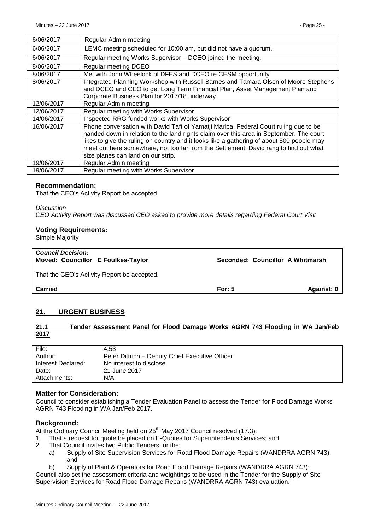| 6/06/2017  | Regular Admin meeting                                                                                                                                                                                                                                                                                                                                                                                       |
|------------|-------------------------------------------------------------------------------------------------------------------------------------------------------------------------------------------------------------------------------------------------------------------------------------------------------------------------------------------------------------------------------------------------------------|
| 6/06/2017  | LEMC meeting scheduled for 10:00 am, but did not have a quorum.                                                                                                                                                                                                                                                                                                                                             |
| 6/06/2017  | Regular meeting Works Supervisor - DCEO joined the meeting.                                                                                                                                                                                                                                                                                                                                                 |
| 8/06/2017  | <b>Regular meeting DCEO</b>                                                                                                                                                                                                                                                                                                                                                                                 |
| 8/06/2017  | Met with John Wheelock of DFES and DCEO re CESM opportunity.                                                                                                                                                                                                                                                                                                                                                |
| 8/06/2017  | Integrated Planning Workshop with Russell Barnes and Tamara Olsen of Moore Stephens<br>and DCEO and CEO to get Long Term Financial Plan, Asset Management Plan and<br>Corporate Business Plan for 2017/18 underway.                                                                                                                                                                                         |
| 12/06/2017 | Regular Admin meeting                                                                                                                                                                                                                                                                                                                                                                                       |
| 12/06/2017 | Regular meeting with Works Supervisor                                                                                                                                                                                                                                                                                                                                                                       |
| 14/06/2017 | Inspected RRG funded works with Works Supervisor                                                                                                                                                                                                                                                                                                                                                            |
| 16/06/2017 | Phone conversation with David Taft of Yamatji Marlpa. Federal Court ruling due to be<br>handed down in relation to the land rights claim over this area in September. The court<br>likes to give the ruling on country and it looks like a gathering of about 500 people may<br>meet out here somewhere, not too far from the Settlement. David rang to find out what<br>size planes can land on our strip. |
| 19/06/2017 | Regular Admin meeting                                                                                                                                                                                                                                                                                                                                                                                       |
| 19/06/2017 | Regular meeting with Works Supervisor                                                                                                                                                                                                                                                                                                                                                                       |

#### **Recommendation:**

That the CEO's Activity Report be accepted.

*Discussion CEO Activity Report was discussed CEO asked to provide more details regarding Federal Court Visit*

#### **Voting Requirements:**

Simple Majority

| <b>Council Decision:</b><br>Moved: Councillor E Foulkes-Taylor | Seconded: Councillor A Whitmarsh |            |
|----------------------------------------------------------------|----------------------------------|------------|
| That the CEO's Activity Report be accepted.                    |                                  |            |
| <b>Carried</b>                                                 | For: $5$                         | Against: 0 |

# <span id="page-24-0"></span>**21. URGENT BUSINESS**

#### <span id="page-24-1"></span>**21.1 Tender Assessment Panel for Flood Damage Works AGRN 743 Flooding in WA Jan/Feb 2017**

| File:              | 4.53                                            |
|--------------------|-------------------------------------------------|
| Author:            | Peter Dittrich - Deputy Chief Executive Officer |
| Interest Declared: | No interest to disclose                         |
| Date:              | 21 June 2017                                    |
| Attachments:       | N/A                                             |

#### **Matter for Consideration:**

Council to consider establishing a Tender Evaluation Panel to assess the Tender for Flood Damage Works AGRN 743 Flooding in WA Jan/Feb 2017.

#### **Background:**

At the Ordinary Council Meeting held on 25<sup>th</sup> May 2017 Council resolved (17.3):

- 1. That a request for quote be placed on E-Quotes for Superintendents Services; and
- 2. That Council invites two Public Tenders for the:
	- a) Supply of Site Supervision Services for Road Flood Damage Repairs (WANDRRA AGRN 743); and
	- b) Supply of Plant & Operators for Road Flood Damage Repairs (WANDRRA AGRN 743);

Council also set the assessment criteria and weightings to be used in the Tender for the Supply of Site Supervision Services for Road Flood Damage Repairs (WANDRRA AGRN 743) evaluation.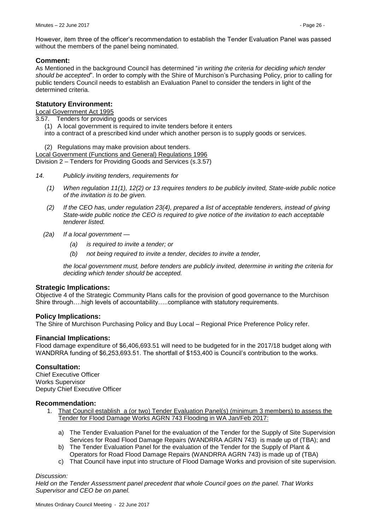However, item three of the officer's recommendation to establish the Tender Evaluation Panel was passed without the members of the panel being nominated.

## **Comment:**

As Mentioned in the background Council has determined "*in writing the criteria for deciding which tender should be accepted*". In order to comply with the Shire of Murchison's Purchasing Policy, prior to calling for public tenders Council needs to establish an Evaluation Panel to consider the tenders in light of the determined criteria.

#### **Statutory Environment:**

#### Local Government Act 1995

3.57. Tenders for providing goods or services

(1) A local government is required to invite tenders before it enters

into a contract of a prescribed kind under which another person is to supply goods or services.

(2) Regulations may make provision about tenders.

Local Government (Functions and General) Regulations 1996

Division 2 – Tenders for Providing Goods and Services (s.3.57)

- *14. Publicly inviting tenders, requirements for*
	- *(1) When regulation 11(1), 12(2) or 13 requires tenders to be publicly invited, State-wide public notice of the invitation is to be given.*
	- *(2) If the CEO has, under regulation 23(4), prepared a list of acceptable tenderers, instead of giving State-wide public notice the CEO is required to give notice of the invitation to each acceptable tenderer listed.*
	- *(2a) If a local government —*
		- *(a) is required to invite a tender; or*
		- *(b) not being required to invite a tender, decides to invite a tender,*

*the local government must, before tenders are publicly invited, determine in writing the criteria for deciding which tender should be accepted.*

#### **Strategic Implications:**

Objective 4 of the Strategic Community Plans calls for the provision of good governance to the Murchison Shire through….high levels of accountability…..compliance with statutory requirements.

#### **Policy Implications:**

The Shire of Murchison Purchasing Policy and Buy Local – Regional Price Preference Policy refer.

#### **Financial Implications:**

Flood damage expenditure of \$6,406,693.51 will need to be budgeted for in the 2017/18 budget along with WANDRRA funding of \$6,253,693.51. The shortfall of \$153,400 is Council's contribution to the works.

#### **Consultation:**

Chief Executive Officer Works Supervisor Deputy Chief Executive Officer

#### **Recommendation:**

- 1. That Council establish a (or two) Tender Evaluation Panel(s) (minimum 3 members) to assess the Tender for Flood Damage Works AGRN 743 Flooding in WA Jan/Feb 2017:
	- a) The Tender Evaluation Panel for the evaluation of the Tender for the Supply of Site Supervision Services for Road Flood Damage Repairs (WANDRRA AGRN 743) is made up of (TBA); and
	- b) The Tender Evaluation Panel for the evaluation of the Tender for the Supply of Plant & Operators for Road Flood Damage Repairs (WANDRRA AGRN 743) is made up of (TBA)
	- c) That Council have input into structure of Flood Damage Works and provision of site supervision.

#### *Discussion:*

*Held on the Tender Assessment panel precedent that whole Council goes on the panel. That Works Supervisor and CEO be on panel.*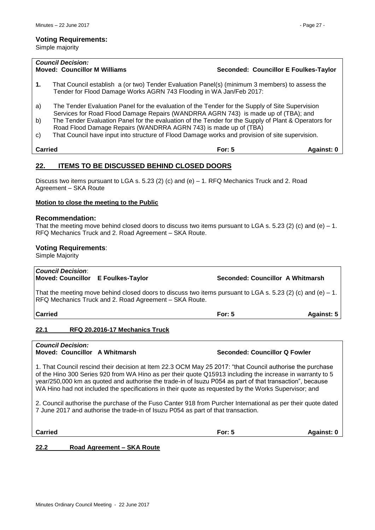Simple majority

|                | <b>Council Decision:</b><br><b>Moved: Councillor M Williams</b>                                                                                                                                                                                                                                                                                                                                                                                                      |          | Seconded: Councillor E Foulkes-Taylor |  |
|----------------|----------------------------------------------------------------------------------------------------------------------------------------------------------------------------------------------------------------------------------------------------------------------------------------------------------------------------------------------------------------------------------------------------------------------------------------------------------------------|----------|---------------------------------------|--|
| 1.             | That Council establish a (or two) Tender Evaluation Panel(s) (minimum 3 members) to assess the<br>Tender for Flood Damage Works AGRN 743 Flooding in WA Jan/Feb 2017:                                                                                                                                                                                                                                                                                                |          |                                       |  |
| a)<br>b)<br>C) | The Tender Evaluation Panel for the evaluation of the Tender for the Supply of Site Supervision<br>Services for Road Flood Damage Repairs (WANDRRA AGRN 743) is made up of (TBA); and<br>The Tender Evaluation Panel for the evaluation of the Tender for the Supply of Plant & Operators for<br>Road Flood Damage Repairs (WANDRRA AGRN 743) is made up of (TBA)<br>That Council have input into structure of Flood Damage works and provision of site supervision. |          |                                       |  |
| Carried        |                                                                                                                                                                                                                                                                                                                                                                                                                                                                      | For: $5$ | <b>Against: 0</b>                     |  |
|                |                                                                                                                                                                                                                                                                                                                                                                                                                                                                      |          |                                       |  |

# <span id="page-26-0"></span>**22. ITEMS TO BE DISCUSSED BEHIND CLOSED DOORS**

Discuss two items pursuant to LGA s. 5.23 (2) (c) and (e) – 1. RFQ Mechanics Truck and 2. Road Agreement – SKA Route

#### **Motion to close the meeting to the Public**

#### **Recommendation:**

That the meeting move behind closed doors to discuss two items pursuant to LGA s. 5.23 (2) (c) and (e) – 1. RFQ Mechanics Truck and 2. Road Agreement – SKA Route.

#### **Voting Requirements**:

Simple Majority

# *Council Decision*:

**Moved: Councillor E Foulkes-Taylor Seconded: Councillor A Whitmarsh**

That the meeting move behind closed doors to discuss two items pursuant to LGA s. 5.23 (2) (c) and (e) – 1. RFQ Mechanics Truck and 2. Road Agreement – SKA Route.

**Carried For: 5 Against: 5**

# <span id="page-26-1"></span>**22.1 RFQ 20.2016-17 Mechanics Truck**

*Council Decision:* **Moved: Councillor A Whitmarsh Seconded: Councillor Q Fowler**

1. That Council rescind their decision at Item 22.3 OCM May 25 2017: "that Council authorise the purchase of the Hino 300 Series 920 from WA Hino as per their quote Q15913 including the increase in warranty to 5 year/250,000 km as quoted and authorise the trade-in of Isuzu P054 as part of that transaction", because WA Hino had not included the specifications in their quote as requested by the Works Supervisor; and

2. Council authorise the purchase of the Fuso Canter 918 from Purcher International as per their quote dated 7 June 2017 and authorise the trade-in of Isuzu P054 as part of that transaction.

**Carried For: 5 Against: 0**

#### <span id="page-26-2"></span>**22.2 Road Agreement – SKA Route**